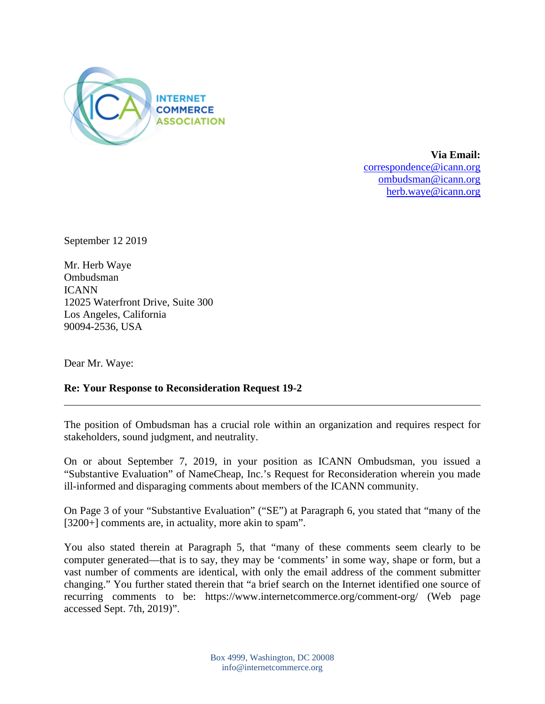

**Via Email:**  [correspondence@icann.org](mailto:correspondence@icann.org) [ombudsman@icann.org](mailto:ombudsman@icann.org) [herb.waye@icann.org](mailto:herb.waye@icann.org)

September 12 2019

Mr. Herb Waye Ombudsman ICANN 12025 Waterfront Drive, Suite 300 Los Angeles, California 90094-2536, USA

Dear Mr. Waye:

## **Re: Your Response to Reconsideration Request 19-2**

The position of Ombudsman has a crucial role within an organization and requires respect for stakeholders, sound judgment, and neutrality.

On or about September 7, 2019, in your position as ICANN Ombudsman, you issued a "Substantive Evaluation" of NameCheap, Inc.'s Request for Reconsideration wherein you made ill-informed and disparaging comments about members of the ICANN community.

On Page 3 of your "Substantive Evaluation" ("SE") at Paragraph 6, you stated that "many of the [3200+] comments are, in actuality, more akin to spam".

You also stated therein at Paragraph 5, that "many of these comments seem clearly to be computer generated—that is to say, they may be 'comments' in some way, shape or form, but a vast number of comments are identical, with only the email address of the comment submitter changing." You further stated therein that "a brief search on the Internet identified one source of recurring comments to be: https://www.internetcommerce.org/comment-org/ (Web page accessed Sept. 7th, 2019)".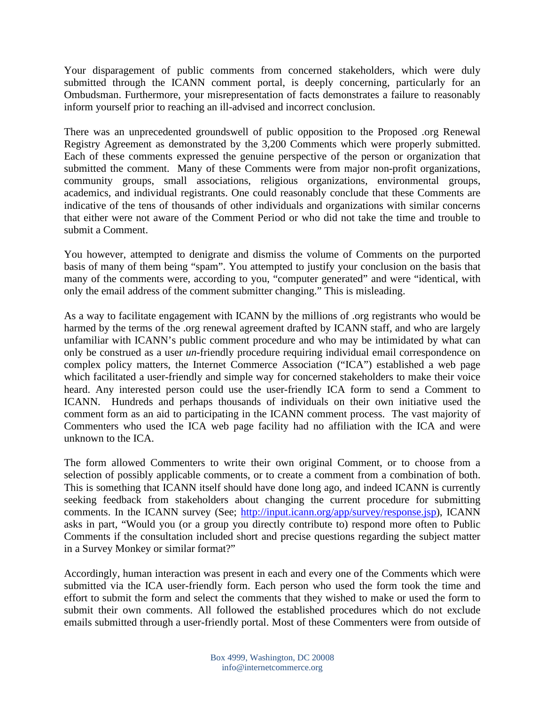Your disparagement of public comments from concerned stakeholders, which were duly submitted through the ICANN comment portal, is deeply concerning, particularly for an Ombudsman. Furthermore, your misrepresentation of facts demonstrates a failure to reasonably inform yourself prior to reaching an ill-advised and incorrect conclusion.

There was an unprecedented groundswell of public opposition to the Proposed .org Renewal Registry Agreement as demonstrated by the 3,200 Comments which were properly submitted. Each of these comments expressed the genuine perspective of the person or organization that submitted the comment. Many of these Comments were from major non-profit organizations, community groups, small associations, religious organizations, environmental groups, academics, and individual registrants. One could reasonably conclude that these Comments are indicative of the tens of thousands of other individuals and organizations with similar concerns that either were not aware of the Comment Period or who did not take the time and trouble to submit a Comment.

You however, attempted to denigrate and dismiss the volume of Comments on the purported basis of many of them being "spam". You attempted to justify your conclusion on the basis that many of the comments were, according to you, "computer generated" and were "identical, with only the email address of the comment submitter changing." This is misleading.

As a way to facilitate engagement with ICANN by the millions of .org registrants who would be harmed by the terms of the .org renewal agreement drafted by ICANN staff, and who are largely unfamiliar with ICANN's public comment procedure and who may be intimidated by what can only be construed as a user *un*-friendly procedure requiring individual email correspondence on complex policy matters, the Internet Commerce Association ("ICA") established a web page which facilitated a user-friendly and simple way for concerned stakeholders to make their voice heard. Any interested person could use the user-friendly ICA form to send a Comment to ICANN. Hundreds and perhaps thousands of individuals on their own initiative used the comment form as an aid to participating in the ICANN comment process. The vast majority of Commenters who used the ICA web page facility had no affiliation with the ICA and were unknown to the ICA.

The form allowed Commenters to write their own original Comment, or to choose from a selection of possibly applicable comments, or to create a comment from a combination of both. This is something that ICANN itself should have done long ago, and indeed ICANN is currently seeking feedback from stakeholders about changing the current procedure for submitting comments. In the ICANN survey (See; [http://input.icann.org/app/survey/response.jsp\)](http://input.icann.org/app/survey/response.jsp), ICANN asks in part, "Would you (or a group you directly contribute to) respond more often to Public Comments if the consultation included short and precise questions regarding the subject matter in a Survey Monkey or similar format?"

Accordingly, human interaction was present in each and every one of the Comments which were submitted via the ICA user-friendly form. Each person who used the form took the time and effort to submit the form and select the comments that they wished to make or used the form to submit their own comments. All followed the established procedures which do not exclude emails submitted through a user-friendly portal. Most of these Commenters were from outside of